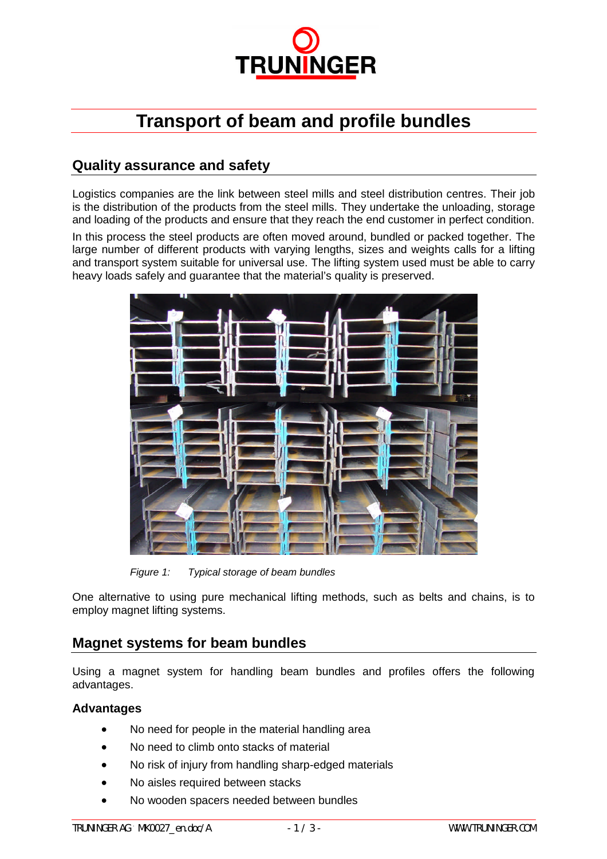

# **Transport of beam and profile bundles**

## **Quality assurance and safety**

Logistics companies are the link between steel mills and steel distribution centres. Their job is the distribution of the products from the steel mills. They undertake the unloading, storage and loading of the products and ensure that they reach the end customer in perfect condition.

In this process the steel products are often moved around, bundled or packed together. The large number of different products with varying lengths, sizes and weights calls for a lifting and transport system suitable for universal use. The lifting system used must be able to carry heavy loads safely and guarantee that the material's quality is preserved.



*Figure 1: Typical storage of beam bundles*

One alternative to using pure mechanical lifting methods, such as belts and chains, is to employ magnet lifting systems.

### **Magnet systems for beam bundles**

Using a magnet system for handling beam bundles and profiles offers the following advantages.

#### **Advantages**

- No need for people in the material handling area
- No need to climb onto stacks of material
- No risk of injury from handling sharp-edged materials
- No aisles required between stacks
- No wooden spacers needed between bundles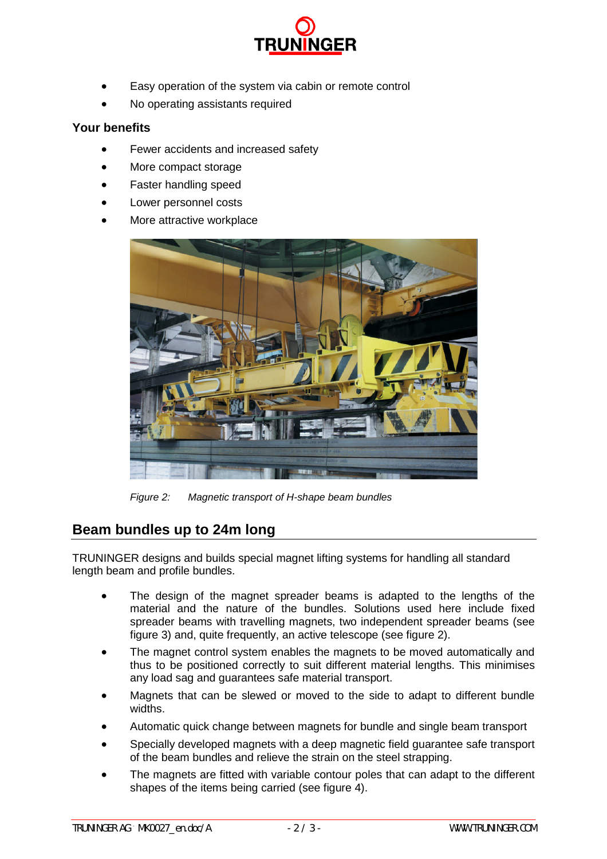![](_page_1_Picture_0.jpeg)

- Easy operation of the system via cabin or remote control
- No operating assistants required

#### **Your benefits**

- Fewer accidents and increased safety
- More compact storage
- Faster handling speed
- Lower personnel costs
- More attractive workplace

![](_page_1_Picture_9.jpeg)

*Figure 2: Magnetic transport of H-shape beam bundles*

## **Beam bundles up to 24m long**

TRUNINGER designs and builds special magnet lifting systems for handling all standard length beam and profile bundles.

- The design of the magnet spreader beams is adapted to the lengths of the material and the nature of the bundles. Solutions used here include fixed spreader beams with travelling magnets, two independent spreader beams (see figure 3) and, quite frequently, an active telescope (see figure 2).
- The magnet control system enables the magnets to be moved automatically and thus to be positioned correctly to suit different material lengths. This minimises any load sag and guarantees safe material transport.
- Magnets that can be slewed or moved to the side to adapt to different bundle widths.
- Automatic quick change between magnets for bundle and single beam transport
- Specially developed magnets with a deep magnetic field guarantee safe transport of the beam bundles and relieve the strain on the steel strapping.
- The magnets are fitted with variable contour poles that can adapt to the different shapes of the items being carried (see figure 4).